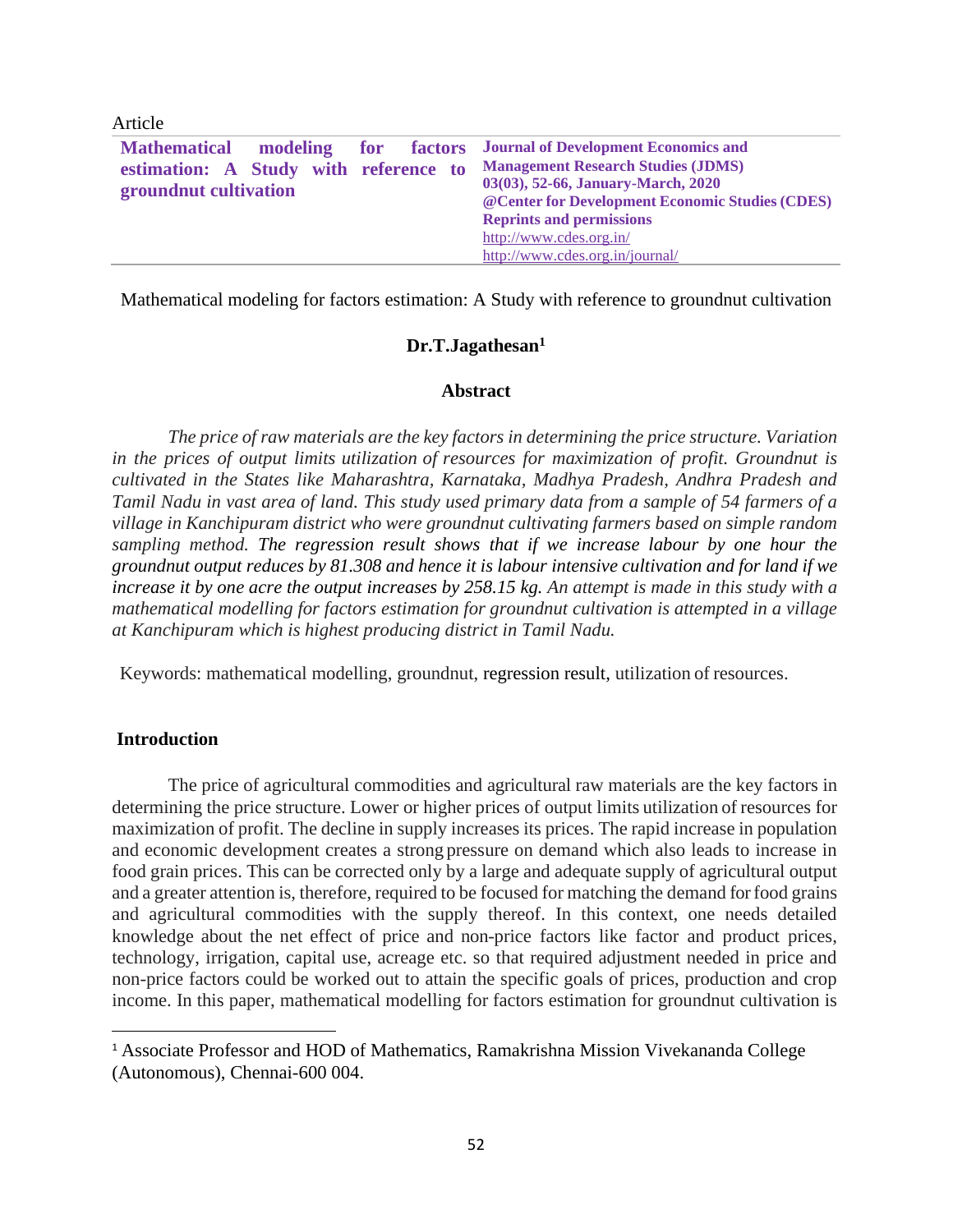| <b>Mathematical</b>                   |  | modeling for factors Journal of Development Economics and |
|---------------------------------------|--|-----------------------------------------------------------|
| estimation: A Study with reference to |  | <b>Management Research Studies (JDMS)</b>                 |
| groundnut cultivation                 |  | 03(03), 52-66, January-March, 2020                        |
|                                       |  | @ Center for Development Economic Studies (CDES)          |
|                                       |  | <b>Reprints and permissions</b>                           |
|                                       |  | http://www.cdes.org.in/                                   |
|                                       |  | http://www.cdes.org.in/journal/                           |
|                                       |  |                                                           |

Mathematical modeling for factors estimation: A Study with reference to groundnut cultivation

#### **Dr.T.Jagathesan<sup>1</sup>**

#### **Abstract**

*The price of raw materials are the key factors in determining the price structure. Variation in the prices of output limits utilization of resources for maximization of profit. Groundnut is cultivated in the States like Maharashtra, Karnataka, Madhya Pradesh, Andhra Pradesh and Tamil Nadu in vast area of land. This study used primary data from a sample of 54 farmers of a village in Kanchipuram district who were groundnut cultivating farmers based on simple random sampling method. The regression result shows that if we increase labour by one hour the groundnut output reduces by 81.308 and hence it is labour intensive cultivation and for land if we increase it by one acre the output increases by 258.15 kg. An attempt is made in this study with a mathematical modelling for factors estimation for groundnut cultivation is attempted in a village at Kanchipuram which is highest producing district in Tamil Nadu.*

Keywords: mathematical modelling, groundnut, regression result, utilization of resources.

## **Introduction**

Article

The price of agricultural commodities and agricultural raw materials are the key factors in determining the price structure. Lower or higher prices of output limits utilization of resources for maximization of profit. The decline in supply increases its prices. The rapid increase in population and economic development creates a strong pressure on demand which also leads to increase in food grain prices. This can be corrected only by a large and adequate supply of agricultural output and a greater attention is, therefore, required to be focused for matching the demand for food grains and agricultural commodities with the supply thereof. In this context, one needs detailed knowledge about the net effect of price and non-price factors like factor and product prices, technology, irrigation, capital use, acreage etc. so that required adjustment needed in price and non-price factors could be worked out to attain the specific goals of prices, production and crop income. In this paper, mathematical modelling for factors estimation for groundnut cultivation is

<sup>&</sup>lt;sup>1</sup> Associate Professor and HOD of Mathematics, Ramakrishna Mission Vivekananda College (Autonomous), Chennai-600 004.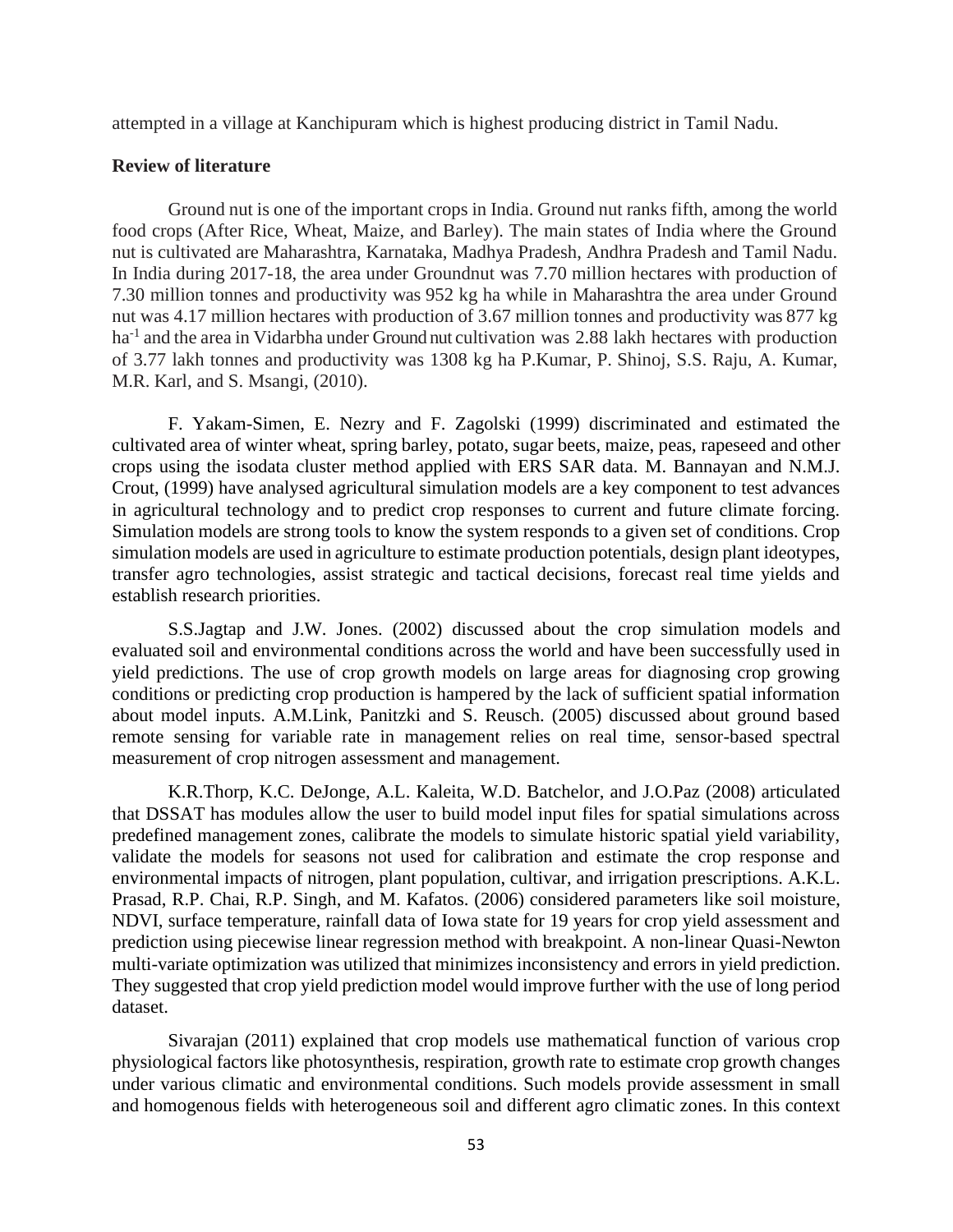attempted in a village at Kanchipuram which is highest producing district in Tamil Nadu.

## **Review of literature**

Ground nut is one of the important crops in India. Ground nut ranks fifth, among the world food crops (After Rice, Wheat, Maize, and Barley). The main states of India where the Ground nut is cultivated are Maharashtra, Karnataka, Madhya Pradesh, Andhra Pradesh and Tamil Nadu. In India during 2017-18, the area under Groundnut was 7.70 million hectares with production of 7.30 million tonnes and productivity was 952 kg ha while in Maharashtra the area under Ground nut was 4.17 million hectares with production of 3.67 million tonnes and productivity was 877 kg ha<sup>-1</sup> and the area in Vidarbha under Ground nut cultivation was 2.88 lakh hectares with production of 3.77 lakh tonnes and productivity was 1308 kg ha P.Kumar, P. Shinoj, S.S. Raju, A. Kumar, M.R. Karl, and S. Msangi, (2010).

F. Yakam-Simen, E. Nezry and F. Zagolski (1999) discriminated and estimated the cultivated area of winter wheat, spring barley, potato, sugar beets, maize, peas, rapeseed and other crops using the isodata cluster method applied with ERS SAR data. M. Bannayan and N.M.J. Crout, (1999) have analysed agricultural simulation models are a key component to test advances in agricultural technology and to predict crop responses to current and future climate forcing. Simulation models are strong tools to know the system responds to a given set of conditions. Crop simulation models are used in agriculture to estimate production potentials, design plant ideotypes, transfer agro technologies, assist strategic and tactical decisions, forecast real time yields and establish research priorities.

S.S.Jagtap and J.W. Jones. (2002) discussed about the crop simulation models and evaluated soil and environmental conditions across the world and have been successfully used in yield predictions. The use of crop growth models on large areas for diagnosing crop growing conditions or predicting crop production is hampered by the lack of sufficient spatial information about model inputs. A.M.Link, Panitzki and S. Reusch. (2005) discussed about ground based remote sensing for variable rate in management relies on real time, sensor-based spectral measurement of crop nitrogen assessment and management.

K.R.Thorp, K.C. DeJonge, A.L. Kaleita, W.D. Batchelor, and J.O.Paz (2008) articulated that DSSAT has modules allow the user to build model input files for spatial simulations across predefined management zones, calibrate the models to simulate historic spatial yield variability, validate the models for seasons not used for calibration and estimate the crop response and environmental impacts of nitrogen, plant population, cultivar, and irrigation prescriptions. A.K.L. Prasad, R.P. Chai, R.P. Singh, and M. Kafatos. (2006) considered parameters like soil moisture, NDVI, surface temperature, rainfall data of Iowa state for 19 years for crop yield assessment and prediction using piecewise linear regression method with breakpoint. A non-linear Quasi-Newton multi-variate optimization was utilized that minimizes inconsistency and errors in yield prediction. They suggested that crop yield prediction model would improve further with the use of long period dataset.

Sivarajan (2011) explained that crop models use mathematical function of various crop physiological factors like photosynthesis, respiration, growth rate to estimate crop growth changes under various climatic and environmental conditions. Such models provide assessment in small and homogenous fields with heterogeneous soil and different agro climatic zones. In this context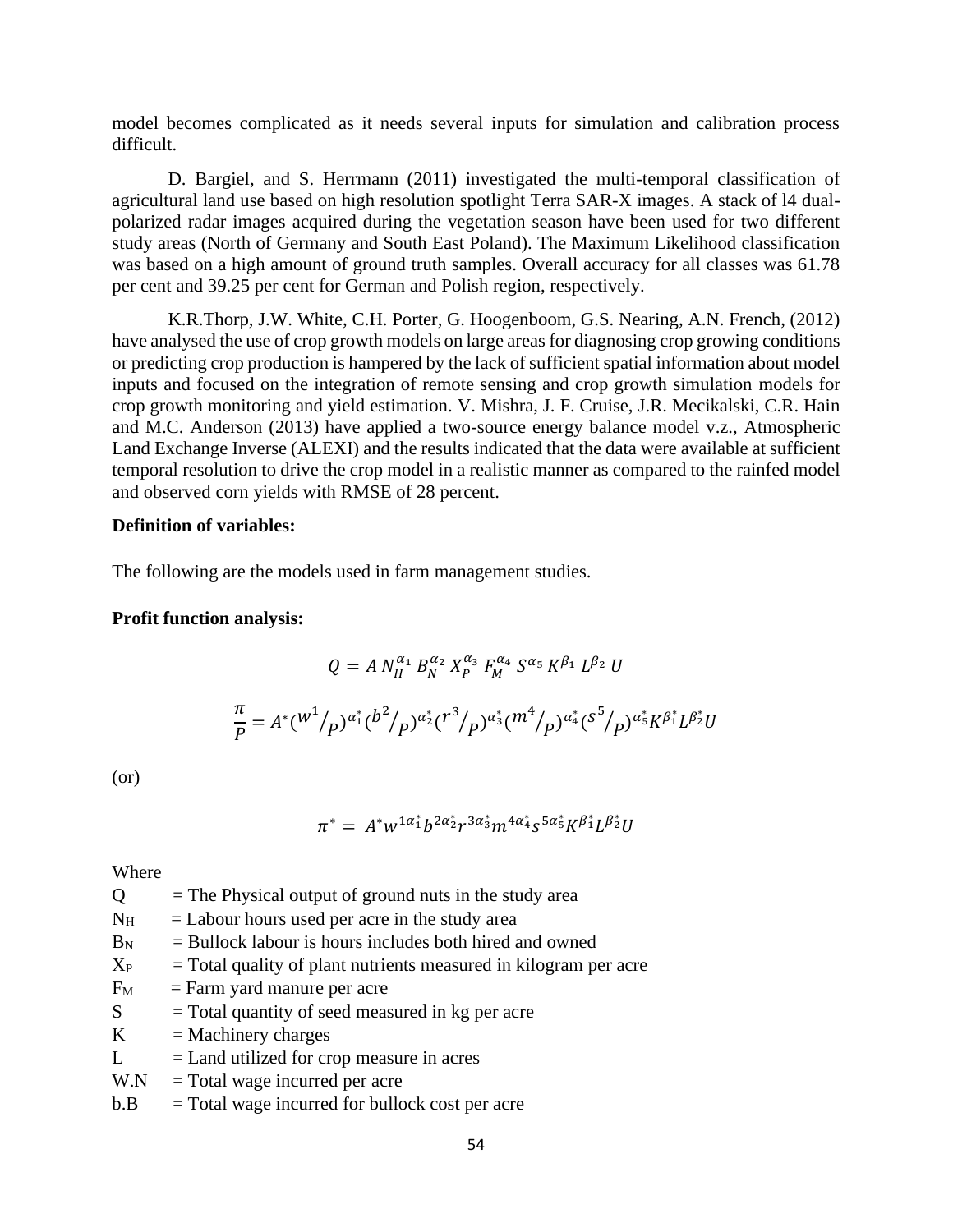model becomes complicated as it needs several inputs for simulation and calibration process difficult.

D. Bargiel, and S. Herrmann (2011) investigated the multi-temporal classification of agricultural land use based on high resolution spotlight Terra SAR-X images. A stack of l4 dualpolarized radar images acquired during the vegetation season have been used for two different study areas (North of Germany and South East Poland). The Maximum Likelihood classification was based on a high amount of ground truth samples. Overall accuracy for all classes was 61.78 per cent and 39.25 per cent for German and Polish region, respectively.

K.R.Thorp, J.W. White, C.H. Porter, G. Hoogenboom, G.S. Nearing, A.N. French, (2012) have analysed the use of crop growth models on large areas for diagnosing crop growing conditions or predicting crop production is hampered by the lack of sufficient spatial information about model inputs and focused on the integration of remote sensing and crop growth simulation models for crop growth monitoring and yield estimation. V. Mishra, J. F. Cruise, J.R. Mecikalski, C.R. Hain and M.C. Anderson (2013) have applied a two-source energy balance model v.z., Atmospheric Land Exchange Inverse (ALEXI) and the results indicated that the data were available at sufficient temporal resolution to drive the crop model in a realistic manner as compared to the rainfed model and observed corn yields with RMSE of 28 percent.

#### **Definition of variables:**

The following are the models used in farm management studies.

## **Profit function analysis:**

$$
Q = A N_H^{\alpha_1} B_N^{\alpha_2} X_P^{\alpha_3} F_M^{\alpha_4} S^{\alpha_5} K^{\beta_1} L^{\beta_2} U
$$
  

$$
\frac{\pi}{P} = A^* (W^1 / p)^{\alpha_1^*} (b^2 / p)^{\alpha_2^*} (T^3 / p)^{\alpha_3^*} (m^4 / p)^{\alpha_4^*} (S^5 / p)^{\alpha_5^*} K^{\beta_1^*} L^{\beta_2^*} U
$$

(or)

$$
\pi^* = A^* w^{1\alpha_1^*} b^{2\alpha_2^*} r^{3\alpha_3^*} m^{4\alpha_4^*} s^{5\alpha_5^*} K^{\beta_1^*} L^{\beta_2^*} U
$$

Where

- $Q =$ The Physical output of ground nuts in the study area
- $N_H$  = Labour hours used per acre in the study area
- $B_N$  = Bullock labour is hours includes both hired and owned
- $X_{P}$  = Total quality of plant nutrients measured in kilogram per acre
- $F_M$  = Farm yard manure per acre
- $S = \text{Total quantity of seed measured in kg per acre}$
- $K =$ Machinery charges
- $L =$ Land utilized for crop measure in acres
- $W.N = Total wage incurred per acre$
- $b.B = Total wage incurred for bullock cost per acre$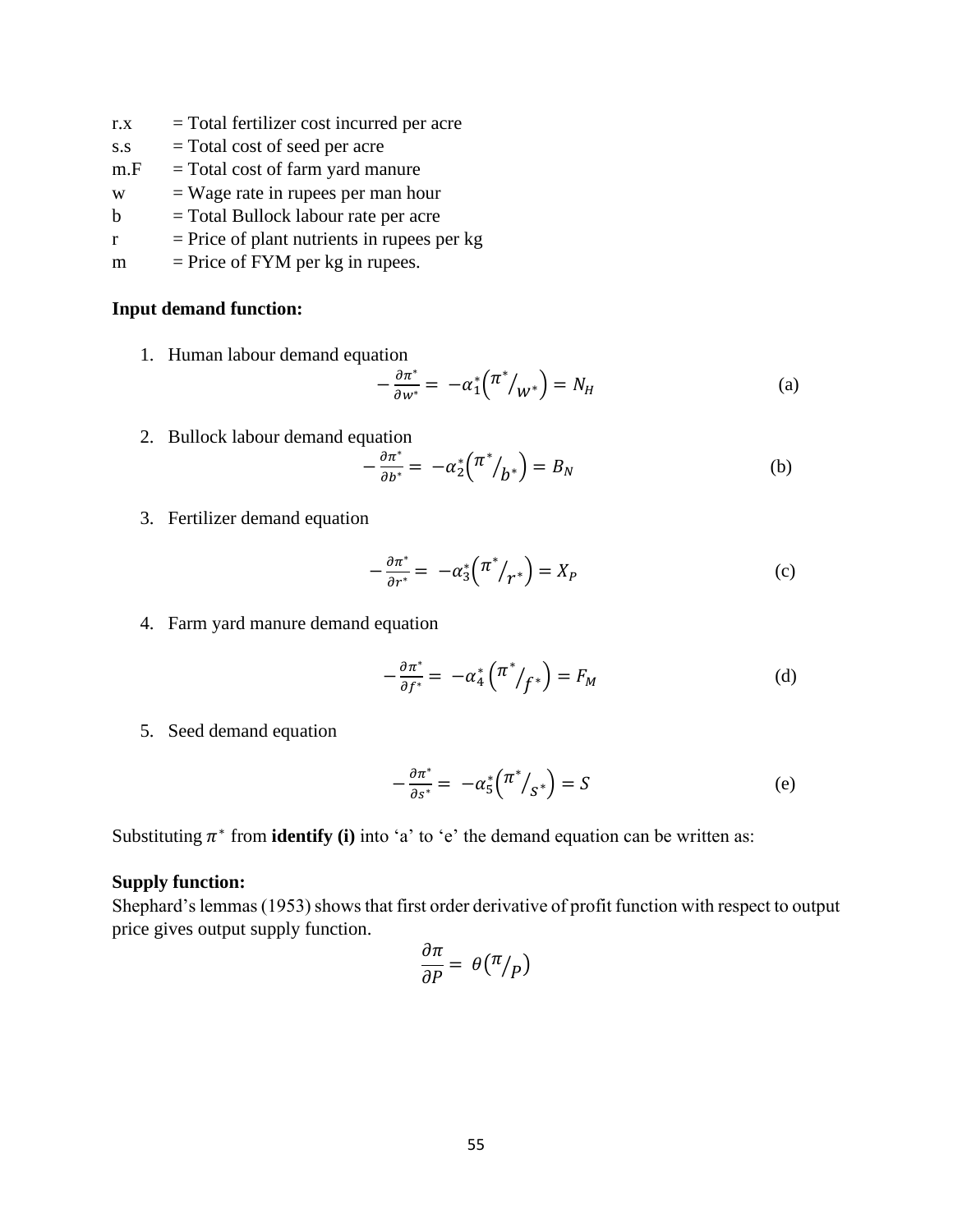- $r.x$  = Total fertilizer cost incurred per acre
- s.s = Total cost of seed per acre
- $m.F = Total cost of farm yard manure$
- w = Wage rate in rupees per man hour
- $b =$ Total Bullock labour rate per acre
- $r =$  Price of plant nutrients in rupees per kg
- $m =$  Price of FYM per kg in rupees.

#### **Input demand function:**

1. Human labour demand equation

$$
-\frac{\partial \pi^*}{\partial w^*} = -\alpha_1^* \left(\pi^* /_{W^*}\right) = N_H \tag{a}
$$

2. Bullock labour demand equation

$$
-\frac{\partial \pi^*}{\partial b^*} = -\alpha_2^* \left(\pi^* /_{b^*}\right) = B_N \tag{b}
$$

3. Fertilizer demand equation

$$
-\frac{\partial \pi^*}{\partial r^*} = -\alpha_3^* \left(\frac{\pi^*}{r^*}\right) = X_P \tag{c}
$$

4. Farm yard manure demand equation

$$
-\frac{\partial \pi^*}{\partial f^*} = -\alpha_4^* \left(\pi^* / f^*\right) = F_M \tag{d}
$$

5. Seed demand equation

$$
-\frac{\partial \pi^*}{\partial s^*} = -\alpha_5^* \left(\pi^* /_{S^*}\right) = S \tag{e}
$$

Substituting  $\pi^*$  from **identify** (i) into 'a' to 'e' the demand equation can be written as:

#### **Supply function:**

Shephard's lemmas (1953) shows that first order derivative of profit function with respect to output price gives output supply function.

$$
\frac{\partial \pi}{\partial P} = \theta(\pi/p)
$$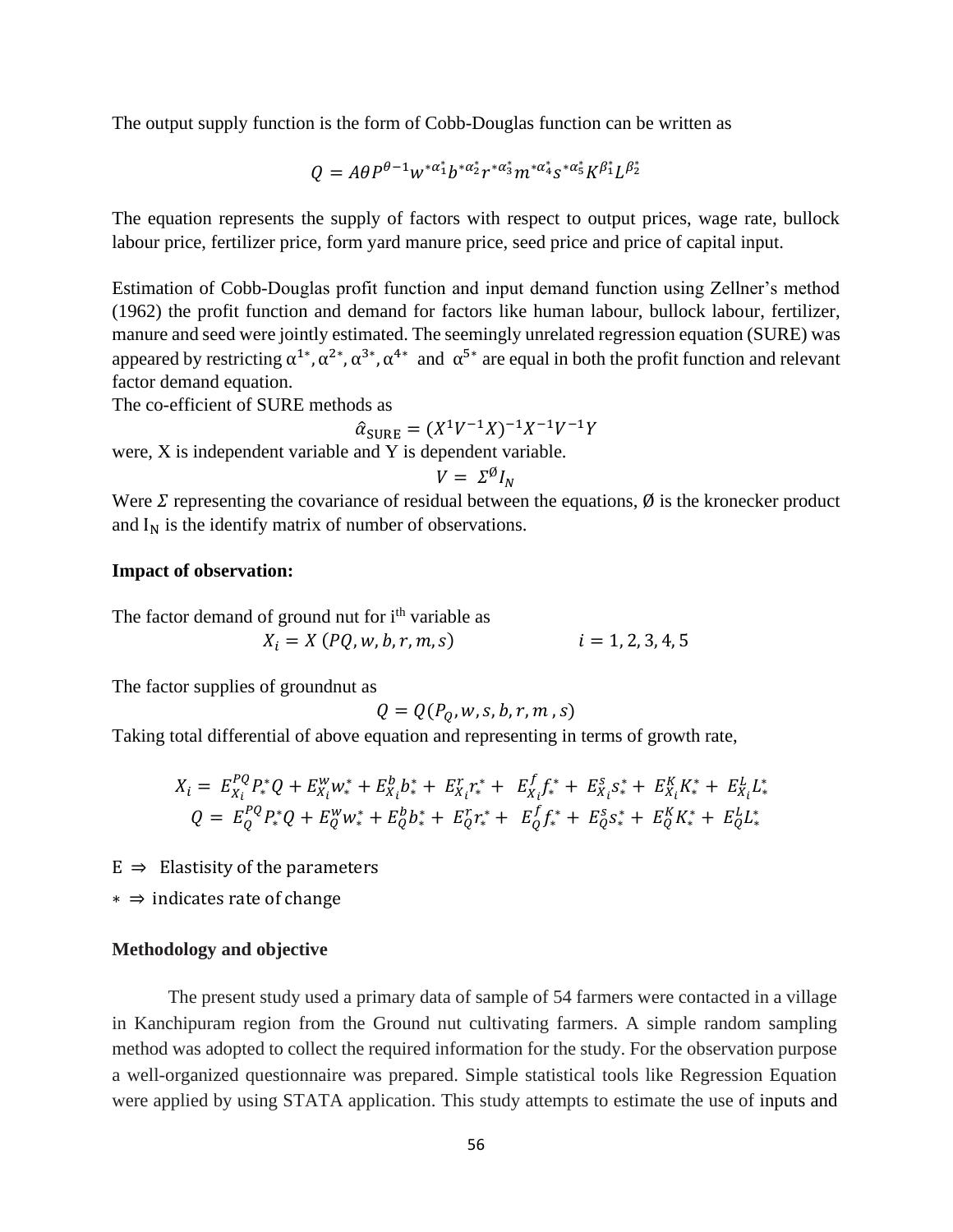The output supply function is the form of Cobb-Douglas function can be written as

$$
Q = A\theta P^{\theta-1} w^{*\alpha_1^*} b^{*\alpha_2^*} r^{*\alpha_3^*} m^{*\alpha_4^*} s^{*\alpha_5^*} K^{\beta_1^*} L^{\beta_2^*}
$$

The equation represents the supply of factors with respect to output prices, wage rate, bullock labour price, fertilizer price, form yard manure price, seed price and price of capital input.

Estimation of Cobb-Douglas profit function and input demand function using Zellner's method (1962) the profit function and demand for factors like human labour, bullock labour, fertilizer, manure and seed were jointly estimated. The seemingly unrelated regression equation (SURE) was appeared by restricting  $\alpha^{1*}, \alpha^{2*}, \alpha^{3*}, \alpha^{4*}$  and  $\alpha^{5*}$  are equal in both the profit function and relevant factor demand equation.

The co-efficient of SURE methods as

$$
\hat{\alpha}_{\text{SURE}} = (X^1 V^{-1} X)^{-1} X^{-1} V^{-1} Y
$$

were, X is independent variable and Y is dependent variable.

$$
V = \Sigma^{\emptyset} I_N
$$

Were  $\Sigma$  representing the covariance of residual between the equations,  $\emptyset$  is the kronecker product and  $I_N$  is the identify matrix of number of observations.

# **Impact of observation:**

The factor demand of ground nut for i<sup>th</sup> variable as  $X_i = X (PQ, w, b, r, m, s)$   $i = 1, 2, 3, 4, 5$ 

The factor supplies of groundnut as

$$
Q = Q(P_Q, w, s, b, r, m, s)
$$

Taking total differential of above equation and representing in terms of growth rate,

$$
X_i = E_{X_i}^{PQ} P_*^* Q + E_{X_i}^w w_*^* + E_{X_i}^b b_*^* + E_{X_i}^r r_*^* + E_{X_i}^f f_*^* + E_{X_i}^s s_*^* + E_{X_i}^K K_*^* + E_{X_i}^L L_*^*
$$
  
\n
$$
Q = E_Q^{PQ} P_*^* Q + E_Q^w w_*^* + E_Q^b b_*^* + E_Q^r r_*^* + E_Q^f f_*^* + E_Q^s s_*^* + E_Q^K K_*^* + E_Q^L L_*^*
$$

 $E \Rightarrow$  Elastisity of the parameters

∗ ⇒ indicates rate of change

## **Methodology and objective**

The present study used a primary data of sample of 54 farmers were contacted in a village in Kanchipuram region from the Ground nut cultivating farmers. A simple random sampling method was adopted to collect the required information for the study. For the observation purpose a well-organized questionnaire was prepared. Simple statistical tools like Regression Equation were applied by using STATA application. This study attempts to estimate the use of inputs and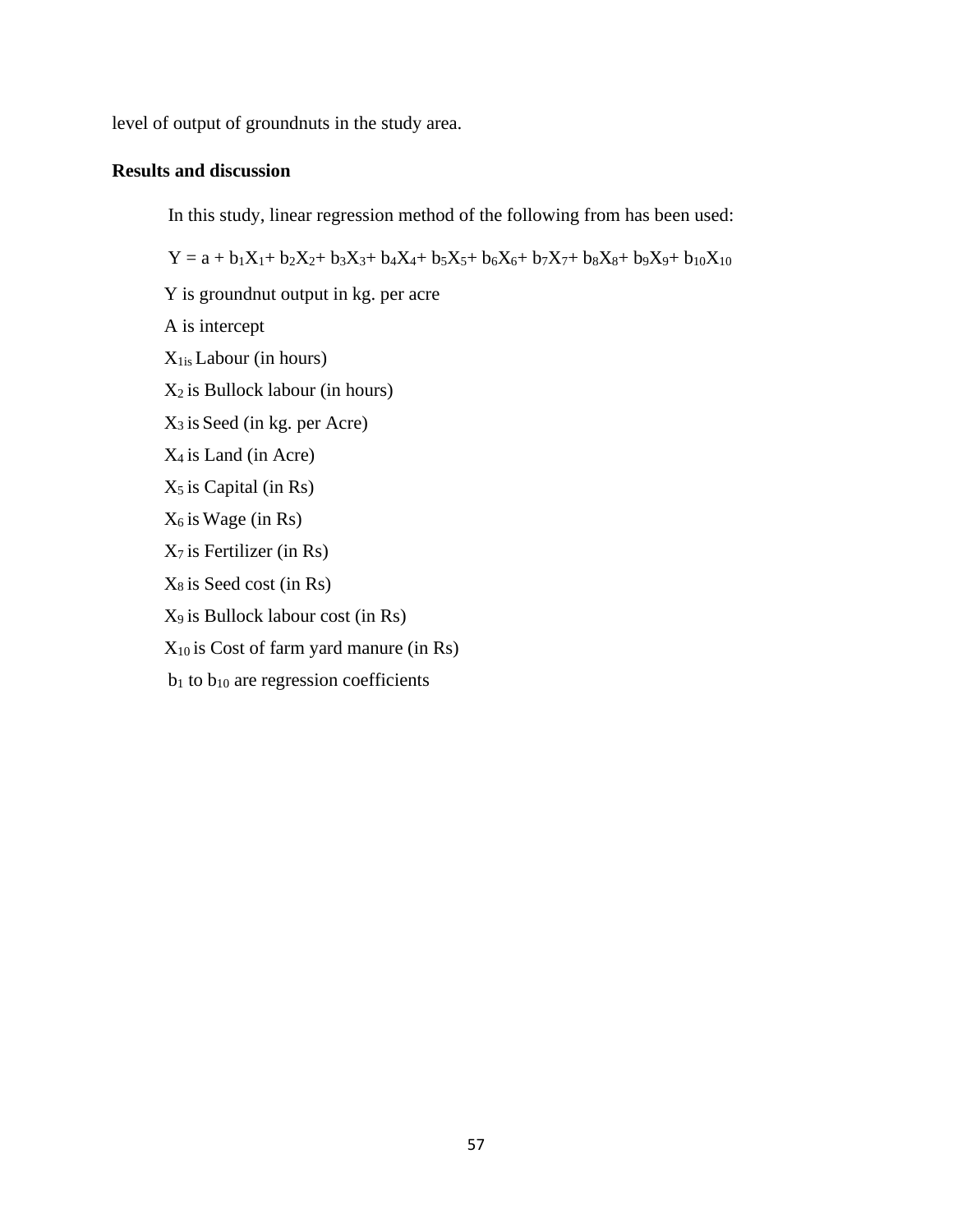level of output of groundnuts in the study area.

# **Results and discussion**

In this study, linear regression method of the following from has been used:

 $Y = a + b_1X_1 + b_2X_2 + b_3X_3 + b_4X_4 + b_5X_5 + b_6X_6 + b_7X_7 + b_8X_8 + b_9X_9 + b_{10}X_{10}$ 

Y is groundnut output in kg. per acre A is intercept X1is Labour (in hours)  $X_2$  is Bullock labour (in hours)  $X_3$  is Seed (in kg. per Acre)  $X_4$  is Land (in Acre)  $X_5$  is Capital (in Rs)  $X_6$  is Wage (in Rs)  $X_7$  is Fertilizer (in Rs)  $X_8$  is Seed cost (in Rs) X9 is Bullock labour cost (in Rs)  $X_{10}$  is Cost of farm yard manure (in Rs)  $b_1$  to  $b_{10}$  are regression coefficients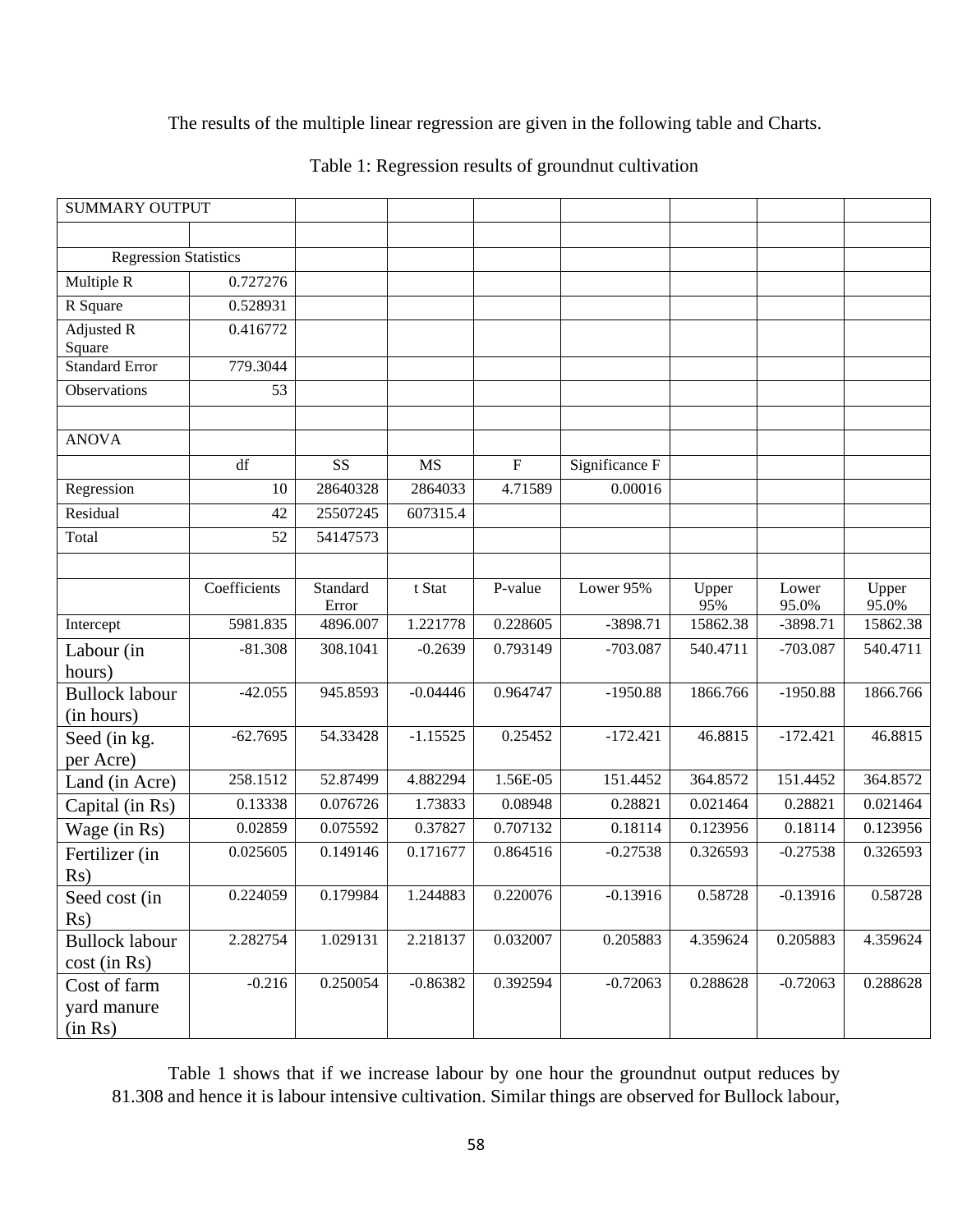# The results of the multiple linear regression are given in the following table and Charts.

| <b>SUMMARY OUTPUT</b>                   |              |                   |            |                           |                |              |                |                |
|-----------------------------------------|--------------|-------------------|------------|---------------------------|----------------|--------------|----------------|----------------|
|                                         |              |                   |            |                           |                |              |                |                |
| <b>Regression Statistics</b>            |              |                   |            |                           |                |              |                |                |
| Multiple R                              | 0.727276     |                   |            |                           |                |              |                |                |
| R Square                                | 0.528931     |                   |            |                           |                |              |                |                |
| <b>Adjusted R</b><br>Square             | 0.416772     |                   |            |                           |                |              |                |                |
| <b>Standard Error</b>                   | 779.3044     |                   |            |                           |                |              |                |                |
| Observations                            | 53           |                   |            |                           |                |              |                |                |
| <b>ANOVA</b>                            |              |                   |            |                           |                |              |                |                |
|                                         | df           | SS                | <b>MS</b>  | $\boldsymbol{\mathrm{F}}$ | Significance F |              |                |                |
| Regression                              | 10           | 28640328          | 2864033    | 4.71589                   | 0.00016        |              |                |                |
| Residual                                | 42           | 25507245          | 607315.4   |                           |                |              |                |                |
| Total                                   | 52           | 54147573          |            |                           |                |              |                |                |
|                                         |              |                   |            |                           |                |              |                |                |
|                                         | Coefficients | Standard<br>Error | t Stat     | P-value                   | Lower 95%      | Upper<br>95% | Lower<br>95.0% | Upper<br>95.0% |
| Intercept                               | 5981.835     | 4896.007          | 1.221778   | 0.228605                  | $-3898.71$     | 15862.38     | $-3898.71$     | 15862.38       |
| Labour (in<br>hours)                    | $-81.308$    | 308.1041          | $-0.2639$  | 0.793149                  | $-703.087$     | 540.4711     | $-703.087$     | 540.4711       |
| <b>Bullock labour</b><br>(in hours)     | $-42.055$    | 945.8593          | $-0.04446$ | 0.964747                  | $-1950.88$     | 1866.766     | $-1950.88$     | 1866.766       |
| Seed (in kg.<br>per Acre)               | $-62.7695$   | 54.33428          | $-1.15525$ | 0.25452                   | $-172.421$     | 46.8815      | $-172.421$     | 46.8815        |
| Land (in Acre)                          | 258.1512     | 52.87499          | 4.882294   | 1.56E-05                  | 151.4452       | 364.8572     | 151.4452       | 364.8572       |
| Capital (in Rs)                         | 0.13338      | 0.076726          | 1.73833    | 0.08948                   | 0.28821        | 0.021464     | 0.28821        | 0.021464       |
| Wage (in Rs)                            | 0.02859      | 0.075592          | 0.37827    | 0.707132                  | 0.18114        | 0.123956     | 0.18114        | 0.123956       |
| Fertilizer (in                          | 0.025605     | 0.149146          | 0.171677   | 0.864516                  | $-0.27538$     | 0.326593     | $-0.27538$     | 0.326593       |
| Rs)                                     |              |                   |            |                           |                |              |                |                |
| Seed cost (in<br>Rs)                    | 0.224059     | 0.179984          | 1.244883   | 0.220076                  | $-0.13916$     | 0.58728      | $-0.13916$     | 0.58728        |
| <b>Bullock labour</b><br>$cost$ (in Rs) | 2.282754     | 1.029131          | 2.218137   | 0.032007                  | 0.205883       | 4.359624     | 0.205883       | 4.359624       |
| Cost of farm<br>yard manure<br>(in Rs)  | $-0.216$     | 0.250054          | $-0.86382$ | 0.392594                  | $-0.72063$     | 0.288628     | $-0.72063$     | 0.288628       |

Table 1 shows that if we increase labour by one hour the groundnut output reduces by 81.308 and hence it is labour intensive cultivation. Similar things are observed for Bullock labour,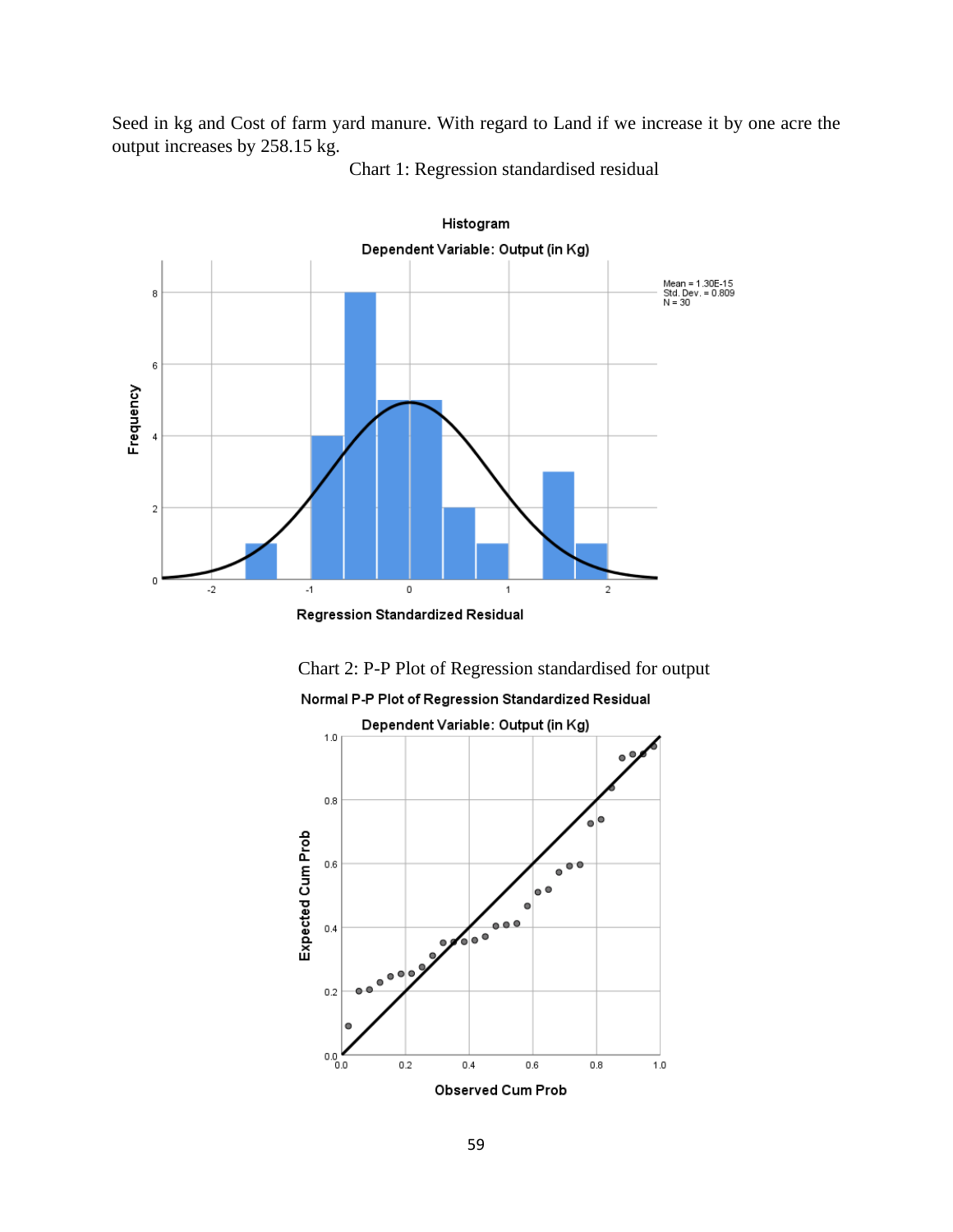Seed in kg and Cost of farm yard manure. With regard to Land if we increase it by one acre the output increases by 258.15 kg.



Chart 1: Regression standardised residual

Chart 2: P-P Plot of Regression standardised for output

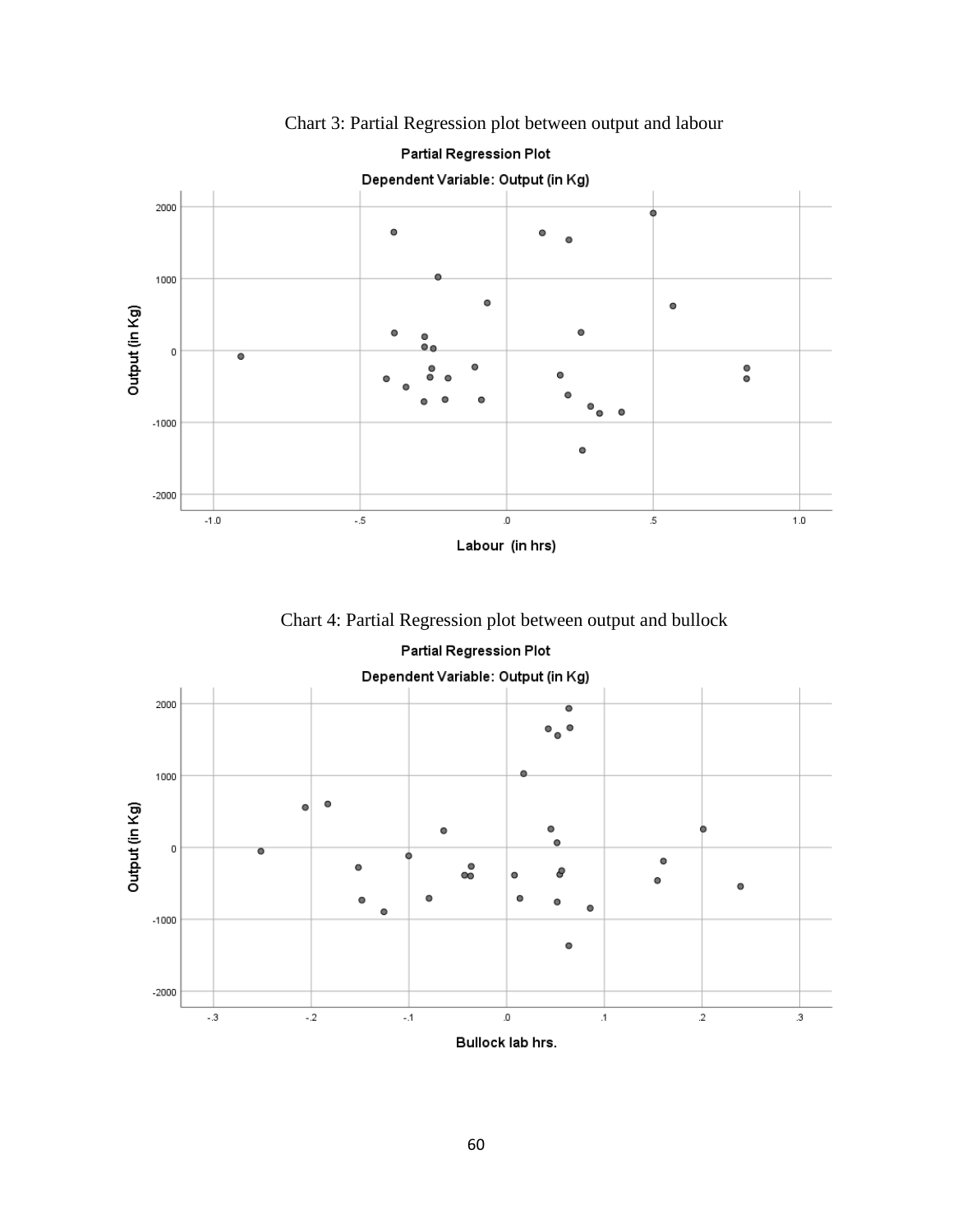

Chart 3: Partial Regression plot between output and labour

Chart 4: Partial Regression plot between output and bullock



Partial Regression Plot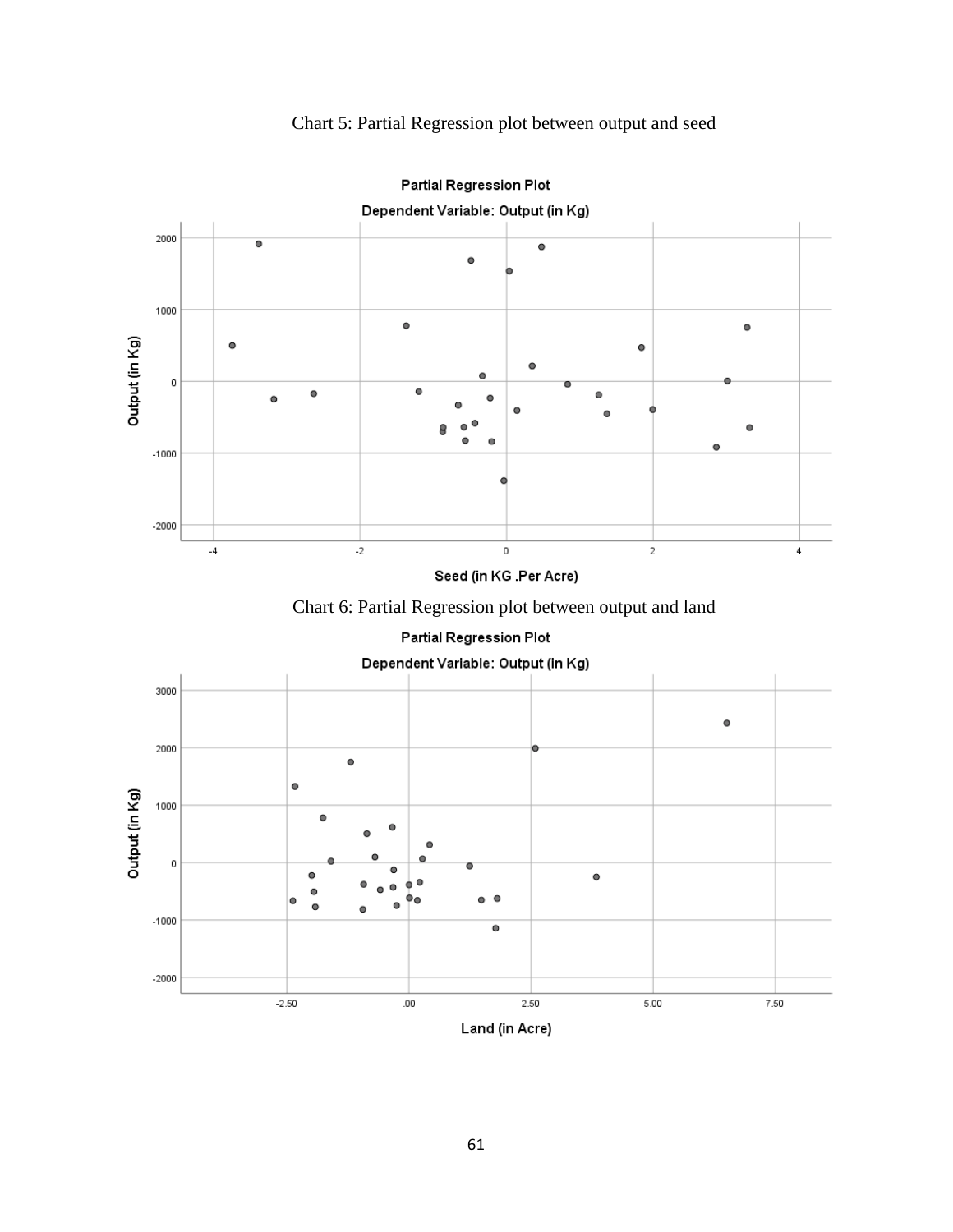Chart 5: Partial Regression plot between output and seed





61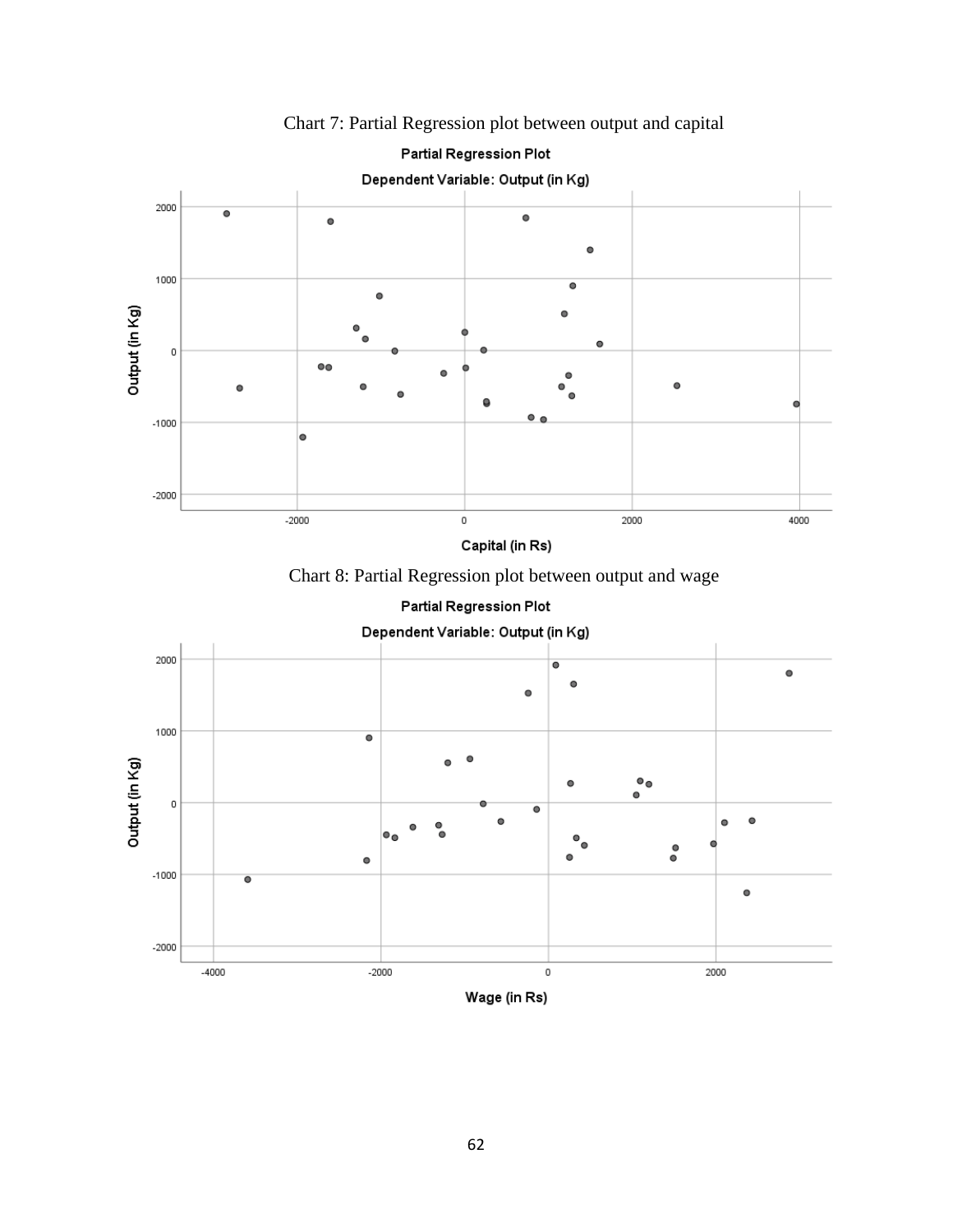

Chart 7: Partial Regression plot between output and capital





Partial Regression Plot

Wage (in Rs)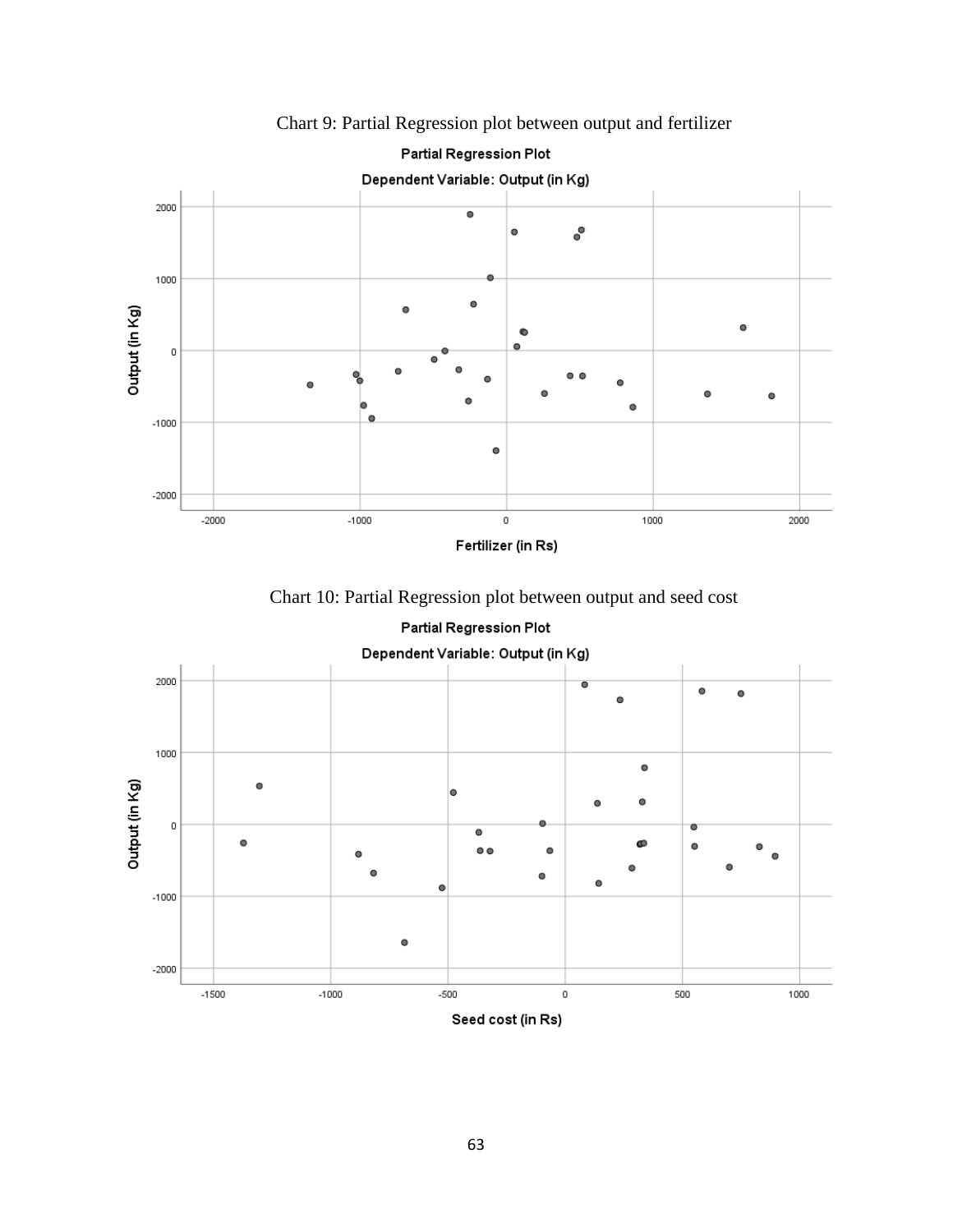

Chart 9: Partial Regression plot between output and fertilizer

Chart 10: Partial Regression plot between output and seed cost



63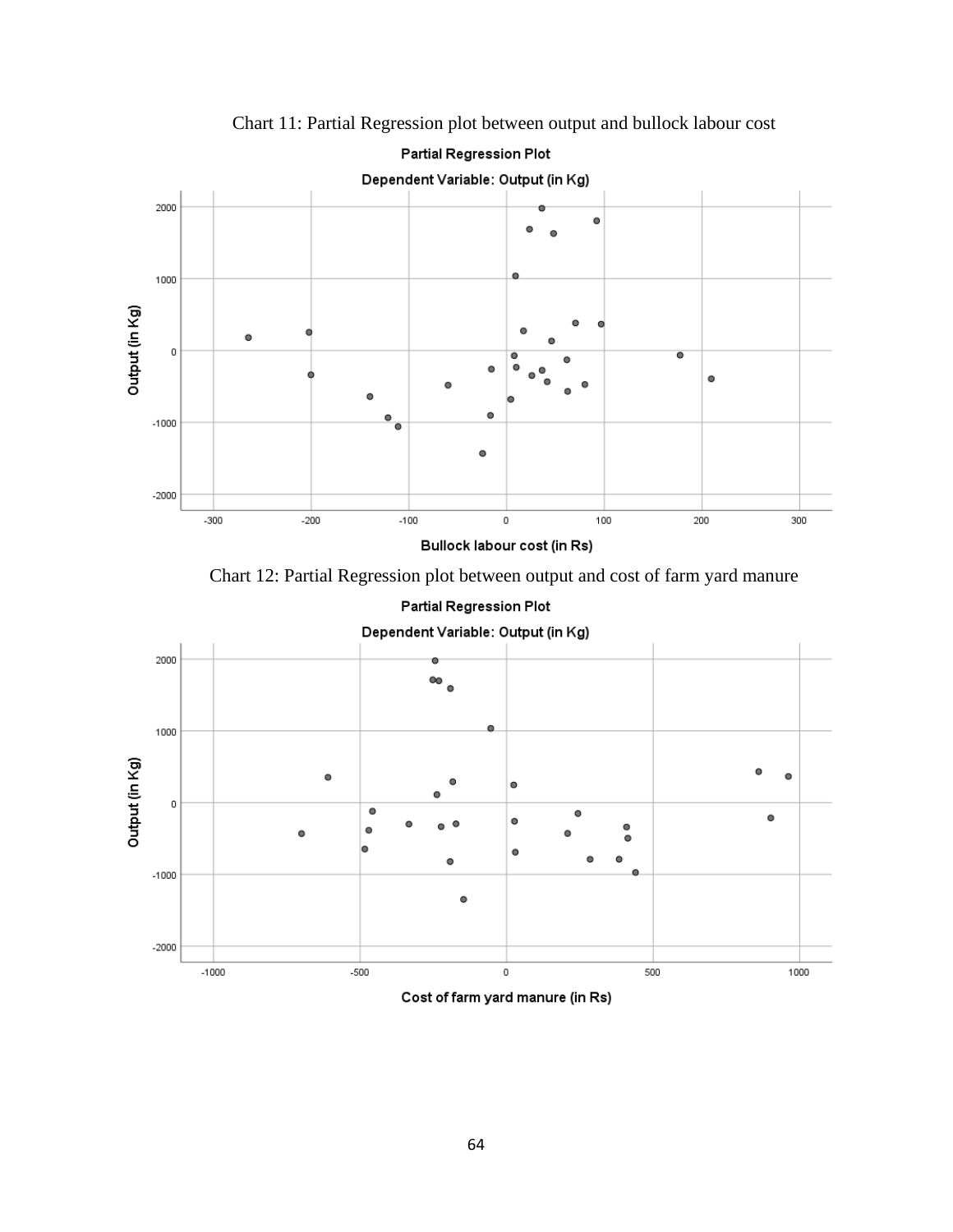

Chart 11: Partial Regression plot between output and bullock labour cost

Chart 12: Partial Regression plot between output and cost of farm yard manure

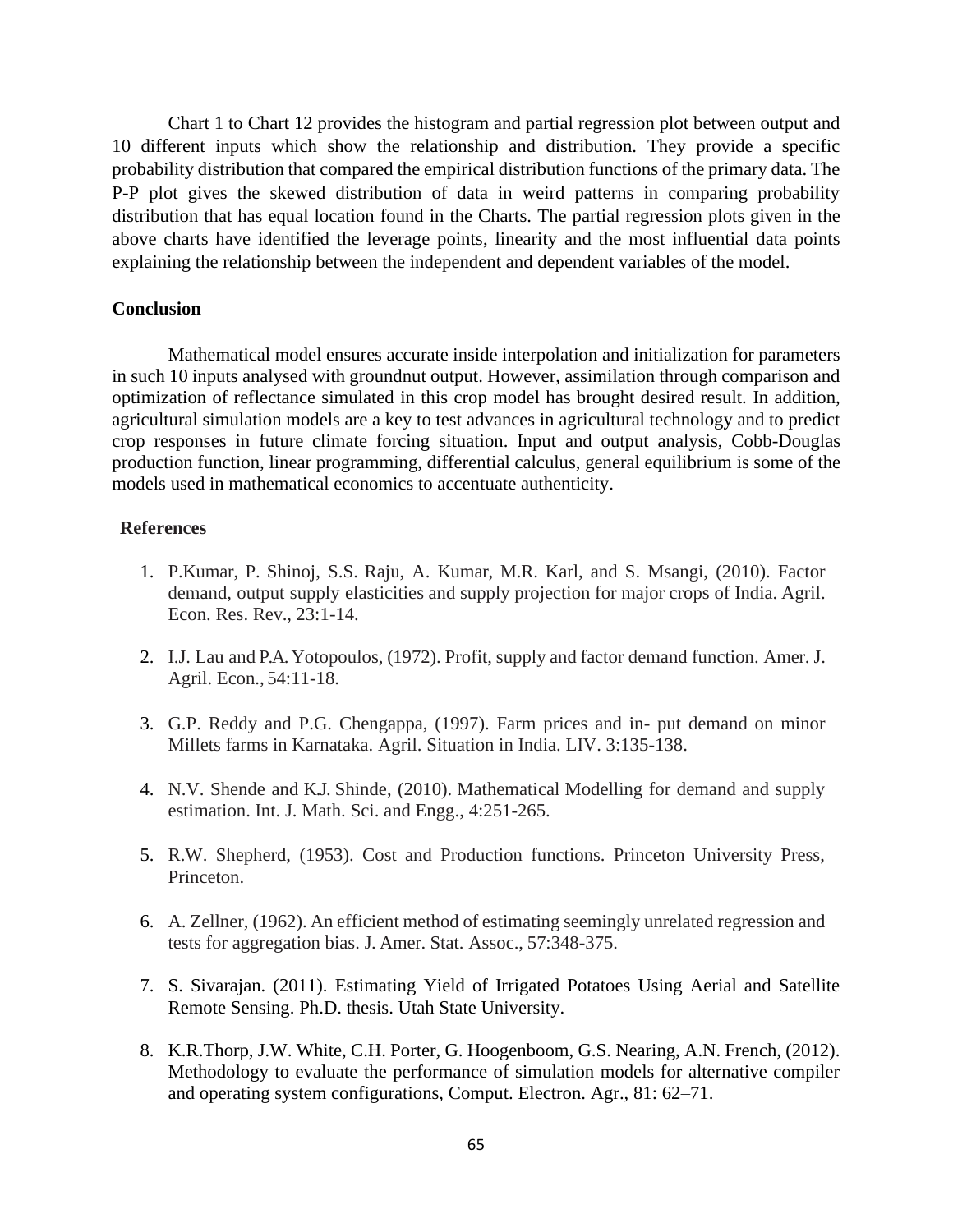Chart 1 to Chart 12 provides the histogram and partial regression plot between output and 10 different inputs which show the relationship and distribution. They provide a specific probability distribution that compared the empirical distribution functions of the primary data. The P-P plot gives the skewed distribution of data in weird patterns in comparing probability distribution that has equal location found in the Charts. The partial regression plots given in the above charts have identified the leverage points, linearity and the most influential data points explaining the relationship between the independent and dependent variables of the model.

#### **Conclusion**

Mathematical model ensures accurate inside interpolation and initialization for parameters in such 10 inputs analysed with groundnut output. However, assimilation through comparison and optimization of reflectance simulated in this crop model has brought desired result. In addition, agricultural simulation models are a key to test advances in agricultural technology and to predict crop responses in future climate forcing situation. Input and output analysis, Cobb-Douglas production function, linear programming, differential calculus, general equilibrium is some of the models used in mathematical economics to accentuate authenticity.

## **References**

- 1. P.Kumar, P. Shinoj, S.S. Raju, A. Kumar, M.R. Karl, and S. Msangi, (2010). Factor demand, output supply elasticities and supply projection for major crops of India. Agril. Econ. Res. Rev., 23:1-14.
- 2. I.J. Lau and P.A. Yotopoulos, (1972). Profit, supply and factor demand function. Amer. J. Agril. Econ., 54:11-18.
- 3. G.P. Reddy and P.G. Chengappa, (1997). Farm prices and in- put demand on minor Millets farms in Karnataka. Agril. Situation in India. LIV. 3:135-138.
- 4. N.V. Shende and K.J. Shinde, (2010). Mathematical Modelling for demand and supply estimation. Int. J. Math. Sci. and Engg., 4:251-265.
- 5. R.W. Shepherd, (1953). Cost and Production functions. Princeton University Press, Princeton.
- 6. A. Zellner, (1962). An efficient method of estimating seemingly unrelated regression and tests for aggregation bias. J. Amer. Stat. Assoc., 57:348-375.
- 7. S. Sivarajan. (2011). Estimating Yield of Irrigated Potatoes Using Aerial and Satellite Remote Sensing. Ph.D. thesis. Utah State University.
- 8. K.R.Thorp, J.W. White, C.H. Porter, G. Hoogenboom, G.S. Nearing, A.N. French, (2012). Methodology to evaluate the performance of simulation models for alternative compiler and operating system configurations, Comput. Electron. Agr., 81: 62–71.